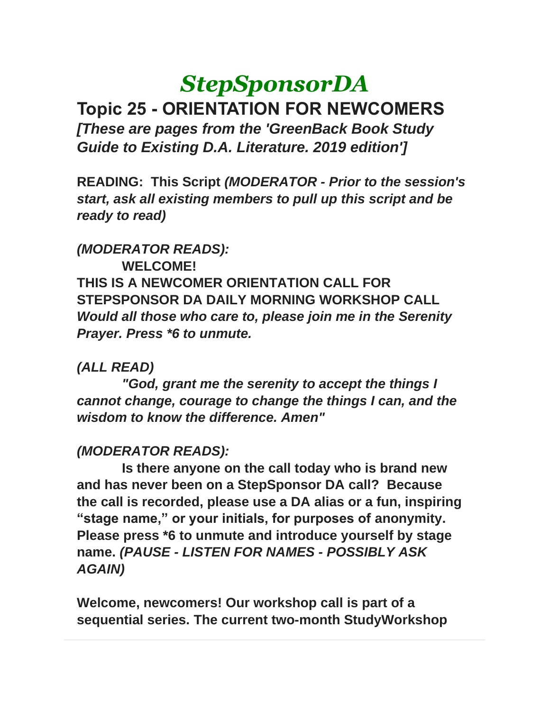# *StepSponsorDA*

**Topic 25 - ORIENTATION FOR NEWCOMERS** *[These are pages from the 'GreenBack Book Study Guide to Existing D.A. Literature. 2019 edition']*

**READING: This Script** *(MODERATOR - Prior to the session's start, ask all existing members to pull up this script and be ready to read)*

### *(MODERATOR READS):*

**WELCOME! THIS IS A NEWCOMER ORIENTATION CALL FOR STEPSPONSOR DA DAILY MORNING WORKSHOP CALL** *Would all those who care to, please join me in the Serenity Prayer. Press \*6 to unmute.*

# *(ALL READ)*

*"God, grant me the serenity to accept the things I cannot change, courage to change the things I can, and the wisdom to know the difference. Amen"*

# *(MODERATOR READS):*

**Is there anyone on the call today who is brand new and has never been on a StepSponsor DA call? Because the call is recorded, please use a DA alias or a fun, inspiring "stage name," or your initials, for purposes of anonymity. Please press \*6 to unmute and introduce yourself by stage name.** *(PAUSE - LISTEN FOR NAMES - POSSIBLY ASK AGAIN)*

**Welcome, newcomers! Our workshop call is part of a sequential series. The current two-month StudyWorkshop**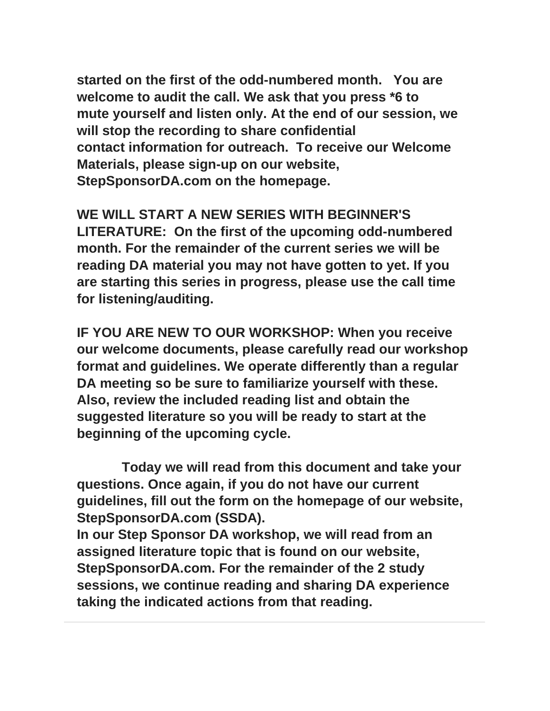**started on the first of the odd-numbered month. You are welcome to audit the call. We ask that you press \*6 to mute yourself and listen only. At the end of our session, we will stop the recording to share confidential contact information for outreach. To receive our Welcome Materials, please sign-up on our website, StepSponsorDA.com on the homepage.** 

**WE WILL START A NEW SERIES WITH BEGINNER'S LITERATURE: On the first of the upcoming odd-numbered month. For the remainder of the current series we will be reading DA material you may not have gotten to yet. If you are starting this series in progress, please use the call time for listening/auditing.**

**IF YOU ARE NEW TO OUR WORKSHOP: When you receive our welcome documents, please carefully read our workshop format and guidelines. We operate differently than a regular DA meeting so be sure to familiarize yourself with these. Also, review the included reading list and obtain the suggested literature so you will be ready to start at the beginning of the upcoming cycle.**

**Today we will read from this document and take your questions. Once again, if you do not have our current guidelines, fill out the form on the homepage of our website, StepSponsorDA.com (SSDA).** 

**In our Step Sponsor DA workshop, we will read from an assigned literature topic that is found on our website, StepSponsorDA.com. For the remainder of the 2 study sessions, we continue reading and sharing DA experience taking the indicated actions from that reading.**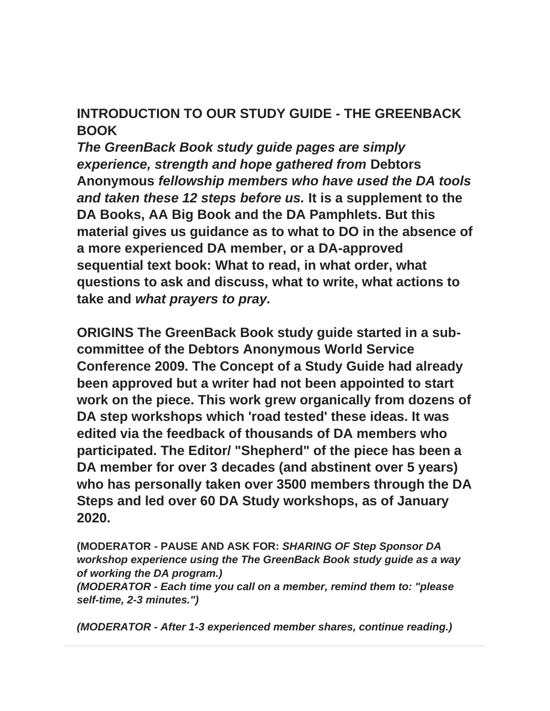# **INTRODUCTION TO OUR STUDY GUIDE - THE GREENBACK BOOK**

*The GreenBack Book study guide pages are simply experience, strength and hope gathered from* **Debtors Anonymous** *fellowship members who have used the DA tools and taken these 12 steps before us.* **It is a supplement to the DA Books, AA Big Book and the DA Pamphlets. But this material gives us guidance as to what to DO in the absence of a more experienced DA member, or a DA-approved sequential text book: What to read, in what order, what questions to ask and discuss, what to write, what actions to take and** *what prayers to pray.*

**ORIGINS The GreenBack Book study guide started in a subcommittee of the Debtors Anonymous World Service Conference 2009. The Concept of a Study Guide had already been approved but a writer had not been appointed to start work on the piece. This work grew organically from dozens of DA step workshops which 'road tested' these ideas. It was edited via the feedback of thousands of DA members who participated. The Editor/ "Shepherd" of the piece has been a DA member for over 3 decades (and abstinent over 5 years) who has personally taken over 3500 members through the DA Steps and led over 60 DA Study workshops, as of January 2020.**

**(MODERATOR - PAUSE AND ASK FOR:** *SHARING OF Step Sponsor DA workshop experience using the The GreenBack Book study guide as a way of working the DA program.)*

*(MODERATOR - Each time you call on a member, remind them to: "please self-time, 2-3 minutes.")*

*(MODERATOR - After 1-3 experienced member shares, continue reading.)*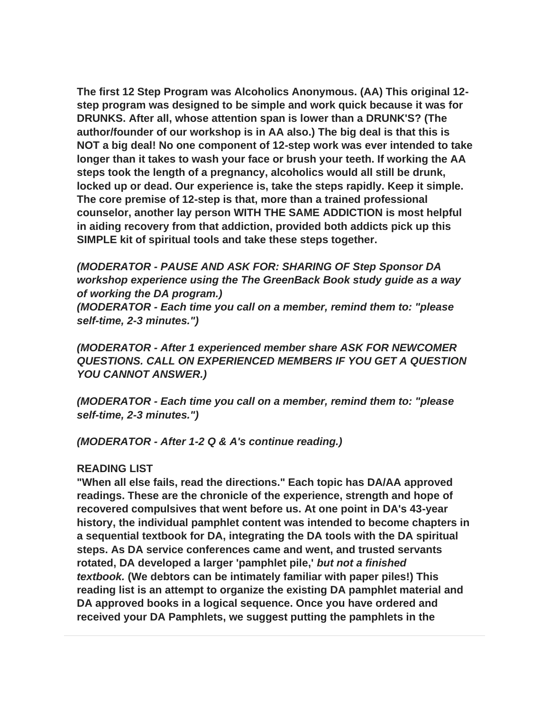**The first 12 Step Program was Alcoholics Anonymous. (AA) This original 12 step program was designed to be simple and work quick because it was for DRUNKS. After all, whose attention span is lower than a DRUNK'S? (The author/founder of our workshop is in AA also.) The big deal is that this is NOT a big deal! No one component of 12-step work was ever intended to take longer than it takes to wash your face or brush your teeth. If working the AA steps took the length of a pregnancy, alcoholics would all still be drunk, locked up or dead. Our experience is, take the steps rapidly. Keep it simple. The core premise of 12-step is that, more than a trained professional counselor, another lay person WITH THE SAME ADDICTION is most helpful in aiding recovery from that addiction, provided both addicts pick up this SIMPLE kit of spiritual tools and take these steps together.**

*(MODERATOR - PAUSE AND ASK FOR: SHARING OF Step Sponsor DA workshop experience using the The GreenBack Book study guide as a way of working the DA program.)*

*(MODERATOR - Each time you call on a member, remind them to: "please self-time, 2-3 minutes.")*

*(MODERATOR - After 1 experienced member share ASK FOR NEWCOMER QUESTIONS. CALL ON EXPERIENCED MEMBERS IF YOU GET A QUESTION YOU CANNOT ANSWER.)*

*(MODERATOR - Each time you call on a member, remind them to: "please self-time, 2-3 minutes.")*

*(MODERATOR - After 1-2 Q & A's continue reading.)*

### **READING LIST**

**"When all else fails, read the directions." Each topic has DA/AA approved readings. These are the chronicle of the experience, strength and hope of recovered compulsives that went before us. At one point in DA's 43-year history, the individual pamphlet content was intended to become chapters in a sequential textbook for DA, integrating the DA tools with the DA spiritual steps. As DA service conferences came and went, and trusted servants rotated, DA developed a larger 'pamphlet pile,'** *but not a finished textbook.* **(We debtors can be intimately familiar with paper piles!) This reading list is an attempt to organize the existing DA pamphlet material and DA approved books in a logical sequence. Once you have ordered and received your DA Pamphlets, we suggest putting the pamphlets in the**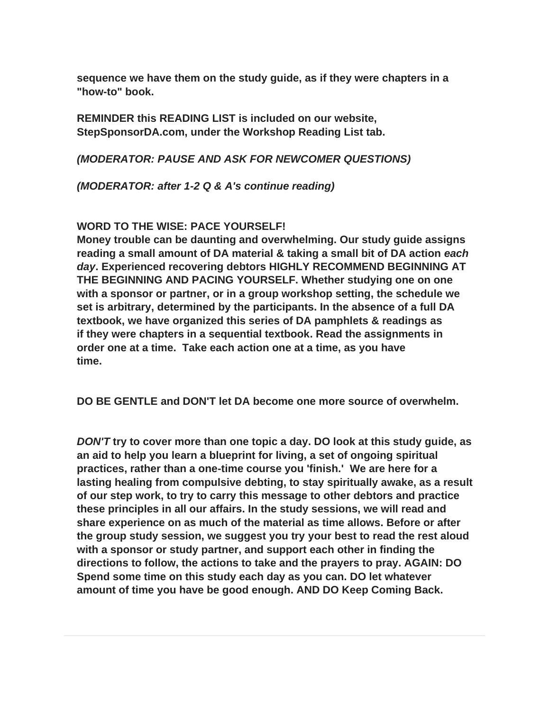**sequence we have them on the study guide, as if they were chapters in a "how-to" book.**

**REMINDER this READING LIST is included on our website, StepSponsorDA.com, under the Workshop Reading List tab.**

*(MODERATOR: PAUSE AND ASK FOR NEWCOMER QUESTIONS)*

*(MODERATOR: after 1-2 Q & A's continue reading)*

### **WORD TO THE WISE: PACE YOURSELF!**

**Money trouble can be daunting and overwhelming. Our study guide assigns reading a small amount of DA material & taking a small bit of DA action** *each day***. Experienced recovering debtors HIGHLY RECOMMEND BEGINNING AT THE BEGINNING AND PACING YOURSELF. Whether studying one on one with a sponsor or partner, or in a group workshop setting, the schedule we set is arbitrary, determined by the participants. In the absence of a full DA textbook, we have organized this series of DA pamphlets & readings as if they were chapters in a sequential textbook. Read the assignments in order one at a time. Take each action one at a time, as you have time.**

**DO BE GENTLE and DON'T let DA become one more source of overwhelm.**

*DON'T* **try to cover more than one topic a day. DO look at this study guide, as an aid to help you learn a blueprint for living, a set of ongoing spiritual practices, rather than a one-time course you 'finish.' We are here for a lasting healing from compulsive debting, to stay spiritually awake, as a result of our step work, to try to carry this message to other debtors and practice these principles in all our affairs. In the study sessions, we will read and share experience on as much of the material as time allows. Before or after the group study session, we suggest you try your best to read the rest aloud with a sponsor or study partner, and support each other in finding the directions to follow, the actions to take and the prayers to pray. AGAIN: DO Spend some time on this study each day as you can. DO let whatever amount of time you have be good enough. AND DO Keep Coming Back.**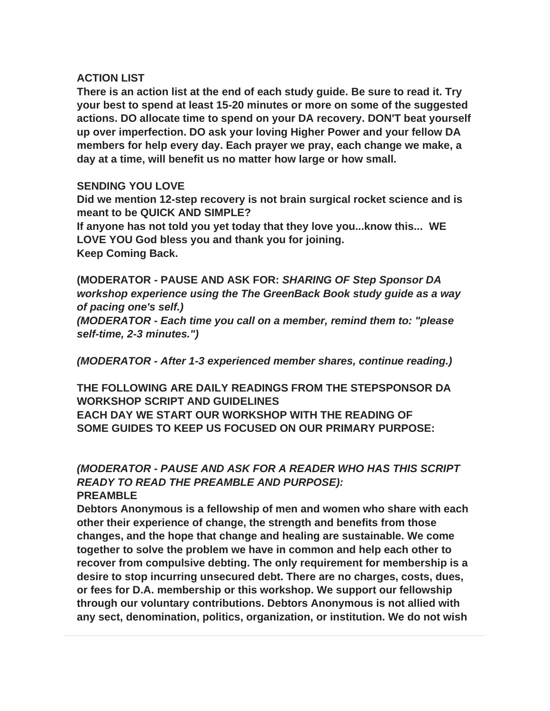### **ACTION LIST**

**There is an action list at the end of each study guide. Be sure to read it. Try your best to spend at least 15-20 minutes or more on some of the suggested actions. DO allocate time to spend on your DA recovery. DON'T beat yourself up over imperfection. DO ask your loving Higher Power and your fellow DA members for help every day. Each prayer we pray, each change we make, a day at a time, will benefit us no matter how large or how small.**

### **SENDING YOU LOVE**

**Did we mention 12-step recovery is not brain surgical rocket science and is meant to be QUICK AND SIMPLE?**

**If anyone has not told you yet today that they love you...know this... WE LOVE YOU God bless you and thank you for joining. Keep Coming Back.**

**(MODERATOR - PAUSE AND ASK FOR:** *SHARING OF Step Sponsor DA workshop experience using the The GreenBack Book study guide as a way of pacing one's self.) (MODERATOR - Each time you call on a member, remind them to: "please self-time, 2-3 minutes.")*

*(MODERATOR - After 1-3 experienced member shares, continue reading.)*

**THE FOLLOWING ARE DAILY READINGS FROM THE STEPSPONSOR DA WORKSHOP SCRIPT AND GUIDELINES EACH DAY WE START OUR WORKSHOP WITH THE READING OF SOME GUIDES TO KEEP US FOCUSED ON OUR PRIMARY PURPOSE:**

### *(MODERATOR - PAUSE AND ASK FOR A READER WHO HAS THIS SCRIPT READY TO READ THE PREAMBLE AND PURPOSE):* **PREAMBLE**

**Debtors Anonymous is a fellowship of men and women who share with each other their experience of change, the strength and benefits from those changes, and the hope that change and healing are sustainable. We come together to solve the problem we have in common and help each other to recover from compulsive debting. The only requirement for membership is a desire to stop incurring unsecured debt. There are no charges, costs, dues, or fees for D.A. membership or this workshop. We support our fellowship through our voluntary contributions. Debtors Anonymous is not allied with any sect, denomination, politics, organization, or institution. We do not wish**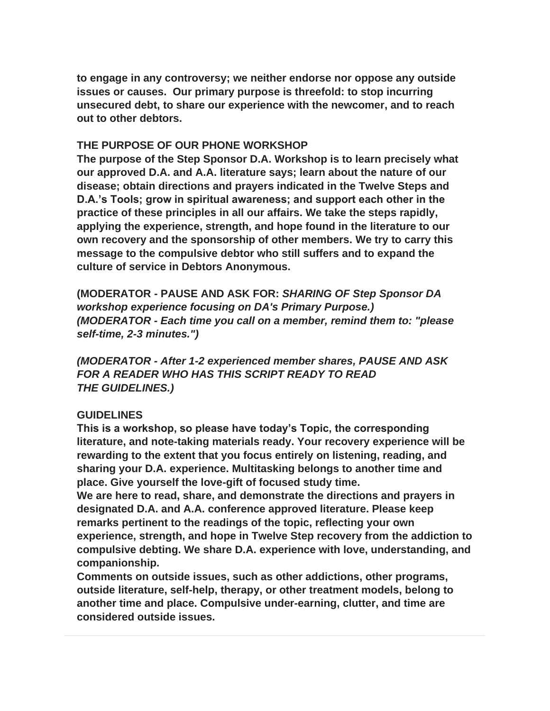**to engage in any controversy; we neither endorse nor oppose any outside issues or causes. Our primary purpose is threefold: to stop incurring unsecured debt, to share our experience with the newcomer, and to reach out to other debtors.**

### **THE PURPOSE OF OUR PHONE WORKSHOP**

**The purpose of the Step Sponsor D.A. Workshop is to learn precisely what our approved D.A. and A.A. literature says; learn about the nature of our disease; obtain directions and prayers indicated in the Twelve Steps and D.A.'s Tools; grow in spiritual awareness; and support each other in the practice of these principles in all our affairs. We take the steps rapidly, applying the experience, strength, and hope found in the literature to our own recovery and the sponsorship of other members. We try to carry this message to the compulsive debtor who still suffers and to expand the culture of service in Debtors Anonymous.**

**(MODERATOR - PAUSE AND ASK FOR:** *SHARING OF Step Sponsor DA workshop experience focusing on DA's Primary Purpose.) (MODERATOR - Each time you call on a member, remind them to: "please self-time, 2-3 minutes.")*

*(MODERATOR - After 1-2 experienced member shares, PAUSE AND ASK FOR A READER WHO HAS THIS SCRIPT READY TO READ THE GUIDELINES.)*

### **GUIDELINES**

**This is a workshop, so please have today's Topic, the corresponding literature, and note-taking materials ready. Your recovery experience will be rewarding to the extent that you focus entirely on listening, reading, and sharing your D.A. experience. Multitasking belongs to another time and place. Give yourself the love-gift of focused study time.**

**We are here to read, share, and demonstrate the directions and prayers in designated D.A. and A.A. conference approved literature. Please keep remarks pertinent to the readings of the topic, reflecting your own experience, strength, and hope in Twelve Step recovery from the addiction to compulsive debting. We share D.A. experience with love, understanding, and companionship.**

**Comments on outside issues, such as other addictions, other programs, outside literature, self-help, therapy, or other treatment models, belong to another time and place. Compulsive under-earning, clutter, and time are considered outside issues.**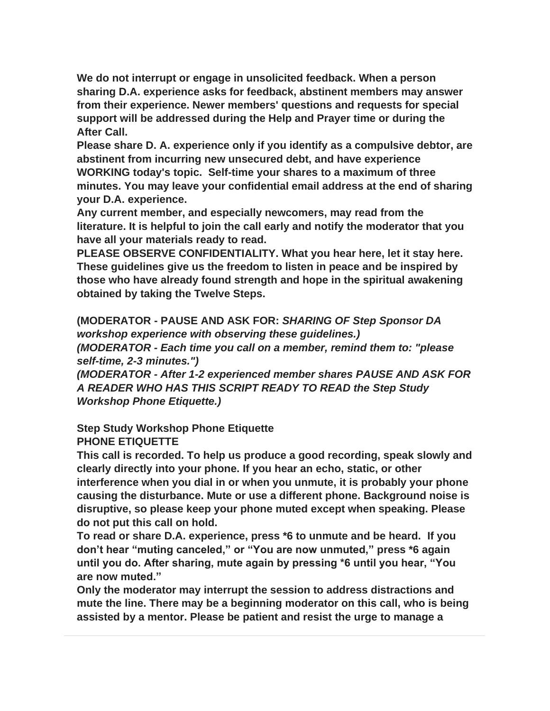**We do not interrupt or engage in unsolicited feedback. When a person sharing D.A. experience asks for feedback, abstinent members may answer from their experience. Newer members' questions and requests for special support will be addressed during the Help and Prayer time or during the After Call.** 

**Please share D. A. experience only if you identify as a compulsive debtor, are abstinent from incurring new unsecured debt, and have experience WORKING today's topic. Self-time your shares to a maximum of three minutes. You may leave your confidential email address at the end of sharing your D.A. experience.**

**Any current member, and especially newcomers, may read from the literature. It is helpful to join the call early and notify the moderator that you have all your materials ready to read.**

**PLEASE OBSERVE CONFIDENTIALITY. What you hear here, let it stay here. These guidelines give us the freedom to listen in peace and be inspired by those who have already found strength and hope in the spiritual awakening obtained by taking the Twelve Steps.**

**(MODERATOR - PAUSE AND ASK FOR:** *SHARING OF Step Sponsor DA workshop experience with observing these guidelines.) (MODERATOR - Each time you call on a member, remind them to: "please self-time, 2-3 minutes.")*

*(MODERATOR - After 1-2 experienced member shares PAUSE AND ASK FOR A READER WHO HAS THIS SCRIPT READY TO READ the Step Study Workshop Phone Etiquette.)*

**Step Study Workshop Phone Etiquette PHONE ETIQUETTE**

**This call is recorded. To help us produce a good recording, speak slowly and clearly directly into your phone. If you hear an echo, static, or other interference when you dial in or when you unmute, it is probably your phone causing the disturbance. Mute or use a different phone. Background noise is disruptive, so please keep your phone muted except when speaking. Please do not put this call on hold.**

**To read or share D.A. experience, press \*6 to unmute and be heard. If you don't hear "muting canceled," or "You are now unmuted," press \*6 again until you do. After sharing, mute again by pressing \*6 until you hear, "You are now muted."**

**Only the moderator may interrupt the session to address distractions and mute the line. There may be a beginning moderator on this call, who is being assisted by a mentor. Please be patient and resist the urge to manage a**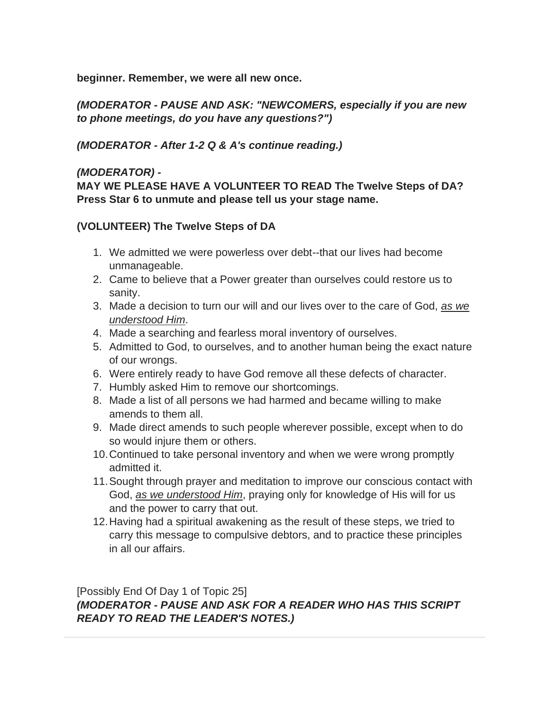**beginner. Remember, we were all new once.**

*(MODERATOR - PAUSE AND ASK: "NEWCOMERS, especially if you are new to phone meetings, do you have any questions?")*

*(MODERATOR - After 1-2 Q & A's continue reading.)*

### *(MODERATOR) -*

**MAY WE PLEASE HAVE A VOLUNTEER TO READ The Twelve Steps of DA? Press Star 6 to unmute and please tell us your stage name.**

### **(VOLUNTEER) The Twelve Steps of DA**

- 1. We admitted we were powerless over debt--that our lives had become unmanageable.
- 2. Came to believe that a Power greater than ourselves could restore us to sanity.
- 3. Made a decision to turn our will and our lives over to the care of God, *as we understood Him*.
- 4. Made a searching and fearless moral inventory of ourselves.
- 5. Admitted to God, to ourselves, and to another human being the exact nature of our wrongs.
- 6. Were entirely ready to have God remove all these defects of character.
- 7. Humbly asked Him to remove our shortcomings.
- 8. Made a list of all persons we had harmed and became willing to make amends to them all.
- 9. Made direct amends to such people wherever possible, except when to do so would injure them or others.
- 10.Continued to take personal inventory and when we were wrong promptly admitted it.
- 11.Sought through prayer and meditation to improve our conscious contact with God, *as we understood Him*, praying only for knowledge of His will for us and the power to carry that out.
- 12.Having had a spiritual awakening as the result of these steps, we tried to carry this message to compulsive debtors, and to practice these principles in all our affairs.

[Possibly End Of Day 1 of Topic 25] *(MODERATOR - PAUSE AND ASK FOR A READER WHO HAS THIS SCRIPT READY TO READ THE LEADER'S NOTES.)*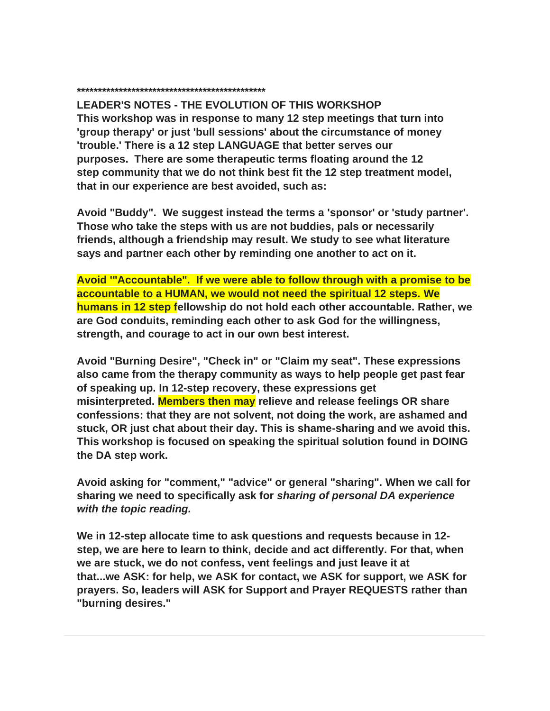#### **\*\*\*\*\*\*\*\*\*\*\*\*\*\*\*\*\*\*\*\*\*\*\*\*\*\*\*\*\*\*\*\*\*\*\*\*\*\*\*\*\*\*\*\*\***

**LEADER'S NOTES - THE EVOLUTION OF THIS WORKSHOP This workshop was in response to many 12 step meetings that turn into 'group therapy' or just 'bull sessions' about the circumstance of money 'trouble.' There is a 12 step LANGUAGE that better serves our purposes. There are some therapeutic terms floating around the 12 step community that we do not think best fit the 12 step treatment model, that in our experience are best avoided, such as:**

**Avoid "Buddy". We suggest instead the terms a 'sponsor' or 'study partner'. Those who take the steps with us are not buddies, pals or necessarily friends, although a friendship may result. We study to see what literature says and partner each other by reminding one another to act on it.**

**Avoid '"Accountable". If we were able to follow through with a promise to be accountable to a HUMAN, we would not need the spiritual 12 steps. We humans in 12 step fellowship do not hold each other accountable. Rather, we are God conduits, reminding each other to ask God for the willingness, strength, and courage to act in our own best interest.**

**Avoid "Burning Desire", "Check in" or "Claim my seat". These expressions also came from the therapy community as ways to help people get past fear of speaking up. In 12-step recovery, these expressions get misinterpreted. Members then may relieve and release feelings OR share confessions: that they are not solvent, not doing the work, are ashamed and stuck, OR just chat about their day. This is shame-sharing and we avoid this. This workshop is focused on speaking the spiritual solution found in DOING the DA step work.**

**Avoid asking for "comment," "advice" or general "sharing". When we call for sharing we need to specifically ask for** *sharing of personal DA experience with the topic reading.*

**We in 12-step allocate time to ask questions and requests because in 12 step, we are here to learn to think, decide and act differently. For that, when we are stuck, we do not confess, vent feelings and just leave it at that...we ASK: for help, we ASK for contact, we ASK for support, we ASK for prayers. So, leaders will ASK for Support and Prayer REQUESTS rather than "burning desires."**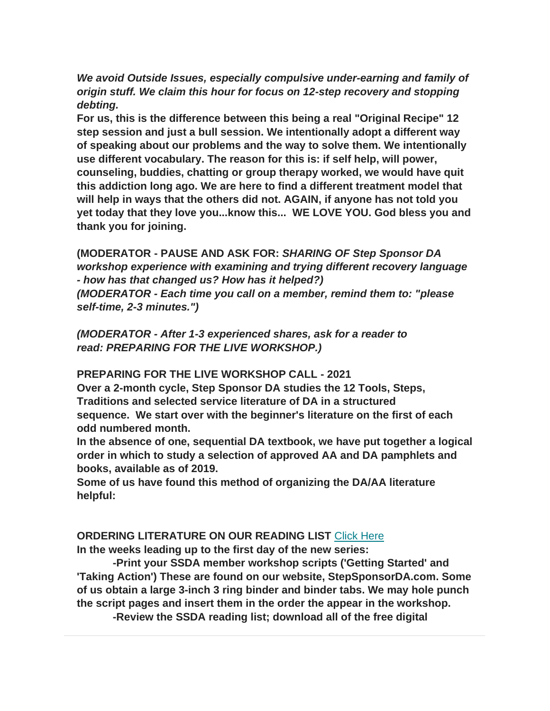*We avoid Outside Issues, especially compulsive under-earning and family of origin stuff. We claim this hour for focus on 12-step recovery and stopping debting.*

**For us, this is the difference between this being a real "Original Recipe" 12 step session and just a bull session. We intentionally adopt a different way of speaking about our problems and the way to solve them. We intentionally use different vocabulary. The reason for this is: if self help, will power, counseling, buddies, chatting or group therapy worked, we would have quit this addiction long ago. We are here to find a different treatment model that will help in ways that the others did not. AGAIN, if anyone has not told you yet today that they love you...know this... WE LOVE YOU. God bless you and thank you for joining.**

**(MODERATOR - PAUSE AND ASK FOR:** *SHARING OF Step Sponsor DA workshop experience with examining and trying different recovery language - how has that changed us? How has it helped?)*

*(MODERATOR - Each time you call on a member, remind them to: "please self-time, 2-3 minutes.")*

*(MODERATOR - After 1-3 experienced shares, ask for a reader to read: PREPARING FOR THE LIVE WORKSHOP.)*

### **PREPARING FOR THE LIVE WORKSHOP CALL - 2021**

**Over a 2-month cycle, Step Sponsor DA studies the 12 Tools, Steps, Traditions and selected service literature of DA in a structured sequence. We start over with the beginner's literature on the first of each odd numbered month.**

**In the absence of one, sequential DA textbook, we have put together a logical order in which to study a selection of approved AA and DA pamphlets and books, available as of 2019.**

**Some of us have found this method of organizing the DA/AA literature helpful:**

### **ORDERING LITERATURE ON OUR READING LIST** [Click Here](https://mcusercontent.com/1408c21f70032c33cd3b1c626/files/fe6792dd-d83c-42f3-a764-83087870950c/STEP_SPONSOR_DA_GreenBack_Book_Reading_List.docx)

**In the weeks leading up to the first day of the new series:**

 **-Print your SSDA member workshop scripts ('Getting Started' and 'Taking Action') These are found on our website, StepSponsorDA.com. Some of us obtain a large 3-inch 3 ring binder and binder tabs. We may hole punch the script pages and insert them in the order the appear in the workshop.**

**-Review the SSDA reading list; download all of the free digital**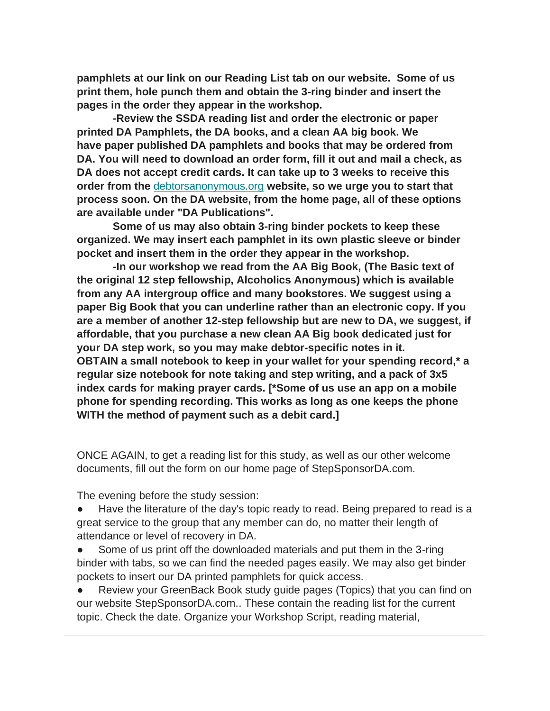**pamphlets at our link on our Reading List tab on our website. Some of us print them, hole punch them and obtain the 3-ring binder and insert the pages in the order they appear in the workshop.**

 **-Review the SSDA reading list and order the electronic or paper printed DA Pamphlets, the DA books, and a clean AA big book. We have paper published DA pamphlets and books that may be ordered from DA. You will need to download an order form, fill it out and mail a check, as DA does not accept credit cards. It can take up to 3 weeks to receive this order from the** [debtorsanonymous.org](http://debtorsanonymous.org/) **website, so we urge you to start that process soon. On the DA website, from the home page, all of these options are available under "DA Publications".**

 **Some of us may also obtain 3-ring binder pockets to keep these organized. We may insert each pamphlet in its own plastic sleeve or binder pocket and insert them in the order they appear in the workshop.**

 **-In our workshop we read from the AA Big Book, (The Basic text of the original 12 step fellowship, Alcoholics Anonymous) which is available from any AA intergroup office and many bookstores. We suggest using a paper Big Book that you can underline rather than an electronic copy. If you are a member of another 12-step fellowship but are new to DA, we suggest, if affordable, that you purchase a new clean AA Big book dedicated just for your DA step work, so you may make debtor-specific notes in it. OBTAIN a small notebook to keep in your wallet for your spending record,\* a regular size notebook for note taking and step writing, and a pack of 3x5 index cards for making prayer cards. [\*Some of us use an app on a mobile phone for spending recording. This works as long as one keeps the phone WITH the method of payment such as a debit card.]**

ONCE AGAIN, to get a reading list for this study, as well as our other welcome documents, fill out the form on our home page of StepSponsorDA.com.

The evening before the study session:

Have the literature of the day's topic ready to read. Being prepared to read is a great service to the group that any member can do, no matter their length of attendance or level of recovery in DA.

Some of us print off the downloaded materials and put them in the 3-ring binder with tabs, so we can find the needed pages easily. We may also get binder pockets to insert our DA printed pamphlets for quick access.

Review your GreenBack Book study guide pages (Topics) that you can find on our website StepSponsorDA.com.. These contain the reading list for the current topic. Check the date. Organize your Workshop Script, reading material,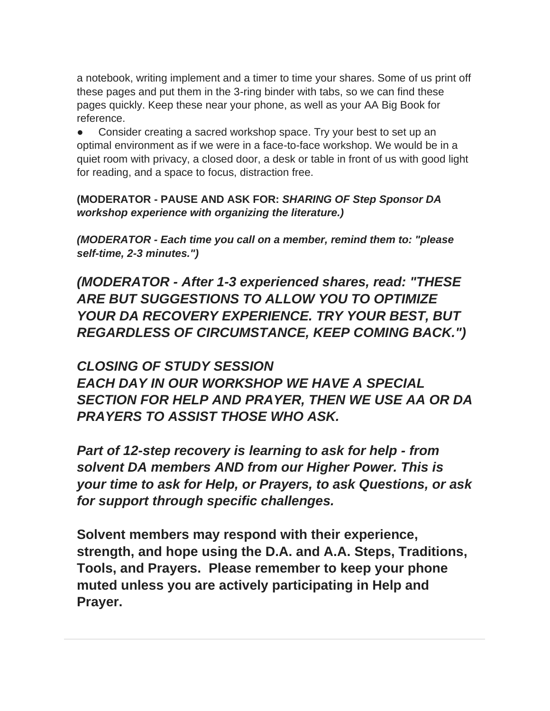a notebook, writing implement and a timer to time your shares. Some of us print off these pages and put them in the 3-ring binder with tabs, so we can find these pages quickly. Keep these near your phone, as well as your AA Big Book for reference.

Consider creating a sacred workshop space. Try your best to set up an optimal environment as if we were in a face-to-face workshop. We would be in a quiet room with privacy, a closed door, a desk or table in front of us with good light for reading, and a space to focus, distraction free.

**(MODERATOR - PAUSE AND ASK FOR:** *SHARING OF Step Sponsor DA workshop experience with organizing the literature.)*

*(MODERATOR - Each time you call on a member, remind them to: "please self-time, 2-3 minutes.")*

*(MODERATOR - After 1-3 experienced shares, read: "THESE ARE BUT SUGGESTIONS TO ALLOW YOU TO OPTIMIZE YOUR DA RECOVERY EXPERIENCE. TRY YOUR BEST, BUT REGARDLESS OF CIRCUMSTANCE, KEEP COMING BACK.")*

*CLOSING OF STUDY SESSION EACH DAY IN OUR WORKSHOP WE HAVE A SPECIAL SECTION FOR HELP AND PRAYER, THEN WE USE AA OR DA PRAYERS TO ASSIST THOSE WHO ASK.*

*Part of 12-step recovery is learning to ask for help - from solvent DA members AND from our Higher Power. This is your time to ask for Help, or Prayers, to ask Questions, or ask for support through specific challenges.*

**Solvent members may respond with their experience, strength, and hope using the D.A. and A.A. Steps, Traditions, Tools, and Prayers. Please remember to keep your phone muted unless you are actively participating in Help and Prayer.**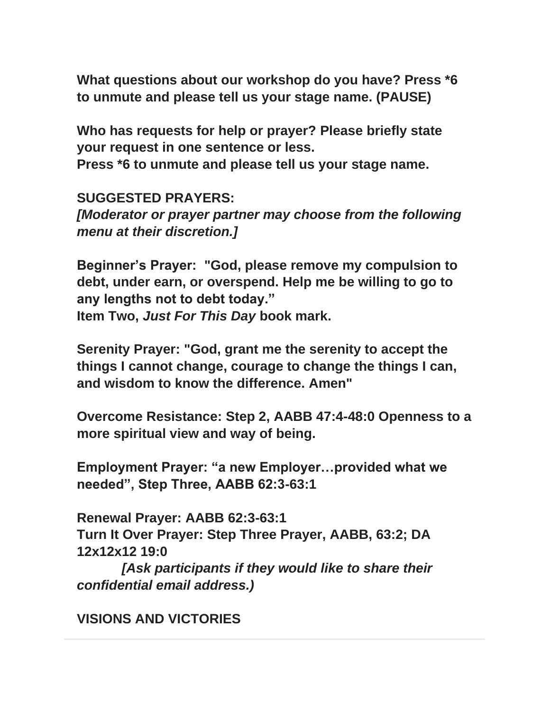**What questions about our workshop do you have? Press \*6 to unmute and please tell us your stage name. (PAUSE)**

**Who has requests for help or prayer? Please briefly state your request in one sentence or less.**

**Press \*6 to unmute and please tell us your stage name.**

**SUGGESTED PRAYERS:** *[Moderator or prayer partner may choose from the following menu at their discretion.]*

**Beginner's Prayer: "God, please remove my compulsion to debt, under earn, or overspend. Help me be willing to go to any lengths not to debt today." Item Two,** *Just For This Day* **book mark.**

**Serenity Prayer: "God, grant me the serenity to accept the things I cannot change, courage to change the things I can, and wisdom to know the difference. Amen"**

**Overcome Resistance: Step 2, AABB 47:4-48:0 Openness to a more spiritual view and way of being.**

**Employment Prayer: "a new Employer…provided what we needed", Step Three, AABB 62:3-63:1**

**Renewal Prayer: AABB 62:3-63:1 Turn It Over Prayer: Step Three Prayer, AABB, 63:2; DA 12x12x12 19:0**

*[Ask participants if they would like to share their confidential email address.)*

**VISIONS AND VICTORIES**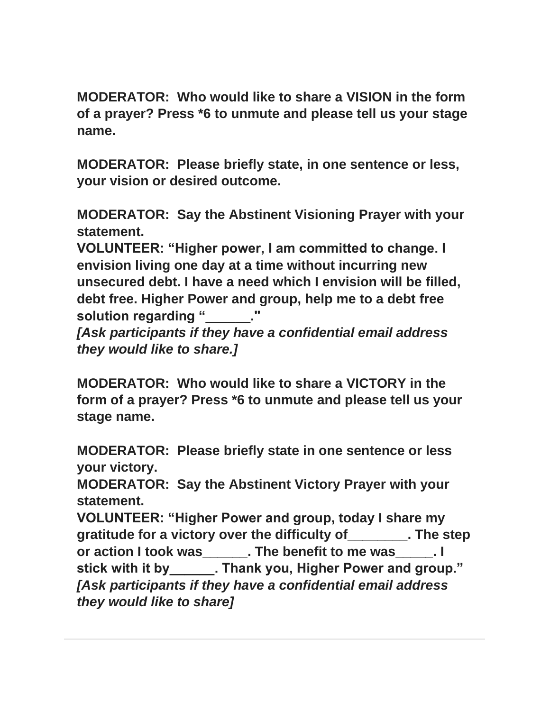**MODERATOR: Who would like to share a VISION in the form of a prayer? Press \*6 to unmute and please tell us your stage name.**

**MODERATOR: Please briefly state, in one sentence or less, your vision or desired outcome.**

**MODERATOR: Say the Abstinent Visioning Prayer with your statement.**

**VOLUNTEER: "Higher power, I am committed to change. I envision living one day at a time without incurring new unsecured debt. I have a need which I envision will be filled, debt free. Higher Power and group, help me to a debt free**  solution regarding "

*[Ask participants if they have a confidential email address they would like to share.]*

**MODERATOR: Who would like to share a VICTORY in the form of a prayer? Press \*6 to unmute and please tell us your stage name.**

**MODERATOR: Please briefly state in one sentence or less your victory.**

**MODERATOR: Say the Abstinent Victory Prayer with your statement.**

**VOLUNTEER: "Higher Power and group, today I share my gratitude for a victory over the difficulty of\_\_\_\_\_\_\_\_. The step or action I took was\_\_\_\_\_\_. The benefit to me was\_\_\_\_\_. I stick with it by\_\_\_\_\_\_. Thank you, Higher Power and group."** *[Ask participants if they have a confidential email address they would like to share]*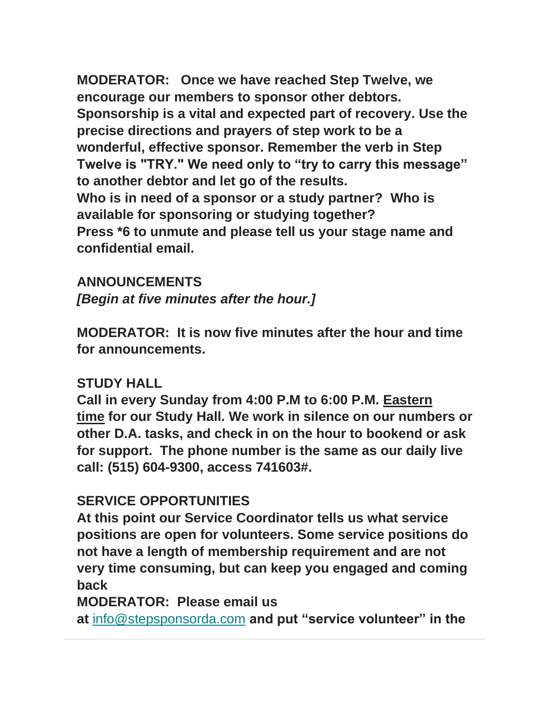**MODERATOR: Once we have reached Step Twelve, we encourage our members to sponsor other debtors. Sponsorship is a vital and expected part of recovery. Use the precise directions and prayers of step work to be a wonderful, effective sponsor. Remember the verb in Step Twelve is "TRY." We need only to "try to carry this message" to another debtor and let go of the results. Who is in need of a sponsor or a study partner? Who is available for sponsoring or studying together? Press \*6 to unmute and please tell us your stage name and confidential email.**

**ANNOUNCEMENTS** *[Begin at five minutes after the hour.]*

**MODERATOR: It is now five minutes after the hour and time for announcements.**

# **STUDY HALL**

**Call in every Sunday from 4:00 P.M to 6:00 P.M. Eastern time for our Study Hall. We work in silence on our numbers or other D.A. tasks, and check in on the hour to bookend or ask for support. The phone number is the same as our daily live call: (515) 604-9300, access 741603#.** 

## **SERVICE OPPORTUNITIES**

**At this point our Service Coordinator tells us what service positions are open for volunteers. Some service positions do not have a length of membership requirement and are not very time consuming, but can keep you engaged and coming back**

## **MODERATOR: Please email us**

**at** [info@stepsponsorda.com](mailto:info@stepsponsorda.com) **and put "service volunteer" in the**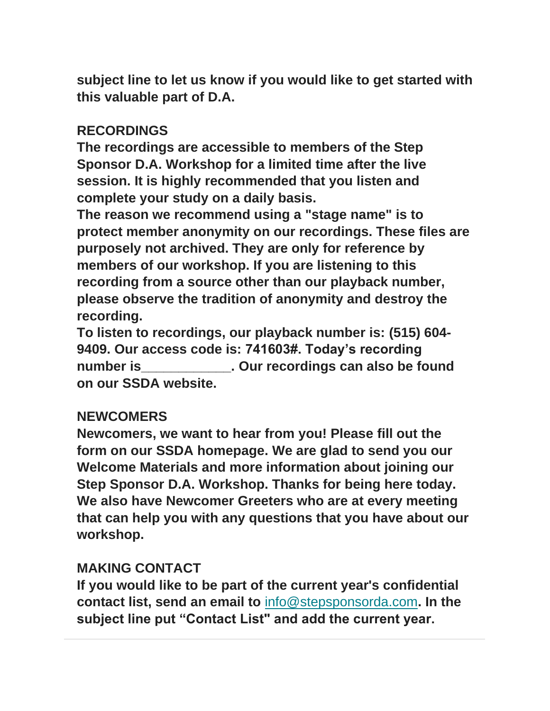**subject line to let us know if you would like to get started with this valuable part of D.A.**

# **RECORDINGS**

**The recordings are accessible to members of the Step Sponsor D.A. Workshop for a limited time after the live session. It is highly recommended that you listen and complete your study on a daily basis.**

**The reason we recommend using a "stage name" is to protect member anonymity on our recordings. These files are purposely not archived. They are only for reference by members of our workshop. If you are listening to this recording from a source other than our playback number, please observe the tradition of anonymity and destroy the recording.**

**To listen to recordings, our playback number is: (515) 604- 9409. Our access code is: 741603#. Today's recording number is\_\_\_\_\_\_\_\_\_\_\_\_. Our recordings can also be found on our SSDA website.**

### **NEWCOMERS**

**Newcomers, we want to hear from you! Please fill out the form on our SSDA homepage. We are glad to send you our Welcome Materials and more information about joining our Step Sponsor D.A. Workshop. Thanks for being here today. We also have Newcomer Greeters who are at every meeting that can help you with any questions that you have about our workshop.**

# **MAKING CONTACT**

**If you would like to be part of the current year's confidential contact list, send an email to** [info@stepsponsorda.com](mailto:info@stepsponsorda.com)**. In the subject line put "Contact List" and add the current year.**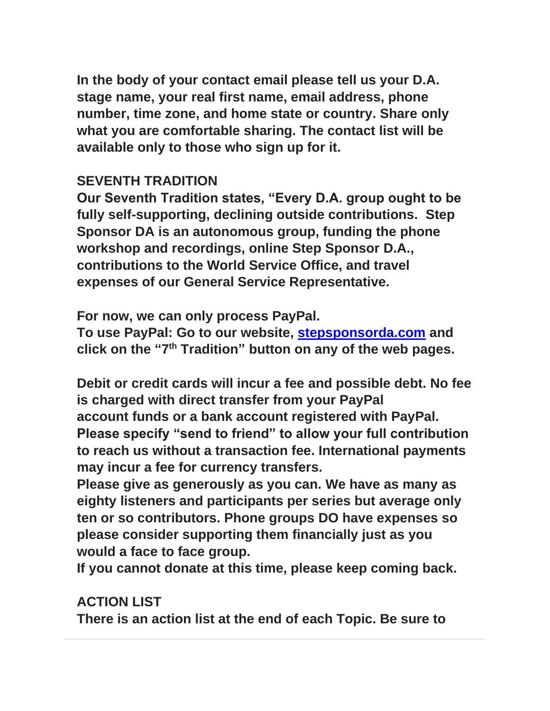**In the body of your contact email please tell us your D.A. stage name, your real first name, email address, phone number, time zone, and home state or country. Share only what you are comfortable sharing. The contact list will be available only to those who sign up for it.**

# **SEVENTH TRADITION**

**Our Seventh Tradition states, "Every D.A. group ought to be fully self-supporting, declining outside contributions. Step Sponsor DA is an autonomous group, funding the phone workshop and recordings, online Step Sponsor D.A., contributions to the World Service Office, and travel expenses of our General Service Representative.**

**For now, we can only process PayPal.**

**To use PayPal: Go to our website, [stepsponsorda.com](http://www.stepsponsorda.com/) and click on the "7 th Tradition" button on any of the web pages.** 

**Debit or credit cards will incur a fee and possible debt. No fee is charged with direct transfer from your PayPal account funds or a bank account registered with PayPal. Please specify "send to friend" to allow your full contribution to reach us without a transaction fee. International payments may incur a fee for currency transfers.**

**Please give as generously as you can. We have as many as eighty listeners and participants per series but average only ten or so contributors. Phone groups DO have expenses so please consider supporting them financially just as you would a face to face group.**

**If you cannot donate at this time, please keep coming back.**

# **ACTION LIST**

**There is an action list at the end of each Topic. Be sure to**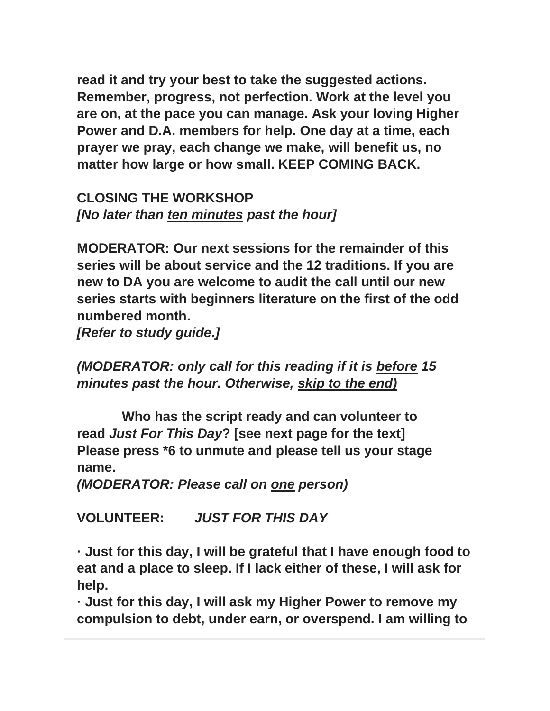**read it and try your best to take the suggested actions. Remember, progress, not perfection. Work at the level you are on, at the pace you can manage. Ask your loving Higher Power and D.A. members for help. One day at a time, each prayer we pray, each change we make, will benefit us, no matter how large or how small. KEEP COMING BACK.**

**CLOSING THE WORKSHOP** *[No later than ten minutes past the hour]*

**MODERATOR: Our next sessions for the remainder of this series will be about service and the 12 traditions. If you are new to DA you are welcome to audit the call until our new series starts with beginners literature on the first of the odd numbered month.**

*[Refer to study guide.]*

*(MODERATOR: only call for this reading if it is before 15 minutes past the hour. Otherwise, skip to the end)*

**Who has the script ready and can volunteer to read** *Just For This Day***? [see next page for the text] Please press \*6 to unmute and please tell us your stage name.**

*(MODERATOR: Please call on one person)*

**VOLUNTEER:** *JUST FOR THIS DAY*

**· Just for this day, I will be grateful that I have enough food to eat and a place to sleep. If I lack either of these, I will ask for help.**

**· Just for this day, I will ask my Higher Power to remove my compulsion to debt, under earn, or overspend. I am willing to**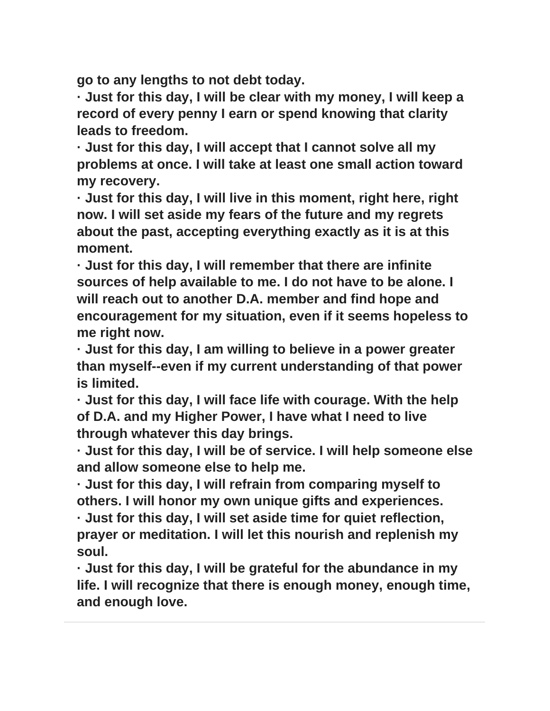**go to any lengths to not debt today.**

**· Just for this day, I will be clear with my money, I will keep a record of every penny I earn or spend knowing that clarity leads to freedom.**

**· Just for this day, I will accept that I cannot solve all my problems at once. I will take at least one small action toward my recovery.**

**· Just for this day, I will live in this moment, right here, right now. I will set aside my fears of the future and my regrets about the past, accepting everything exactly as it is at this moment.**

**· Just for this day, I will remember that there are infinite sources of help available to me. I do not have to be alone. I will reach out to another D.A. member and find hope and encouragement for my situation, even if it seems hopeless to me right now.**

**· Just for this day, I am willing to believe in a power greater than myself--even if my current understanding of that power is limited.**

**· Just for this day, I will face life with courage. With the help of D.A. and my Higher Power, I have what I need to live through whatever this day brings.**

**· Just for this day, I will be of service. I will help someone else and allow someone else to help me.**

**· Just for this day, I will refrain from comparing myself to others. I will honor my own unique gifts and experiences.**

**· Just for this day, I will set aside time for quiet reflection, prayer or meditation. I will let this nourish and replenish my soul.**

**· Just for this day, I will be grateful for the abundance in my life. I will recognize that there is enough money, enough time, and enough love.**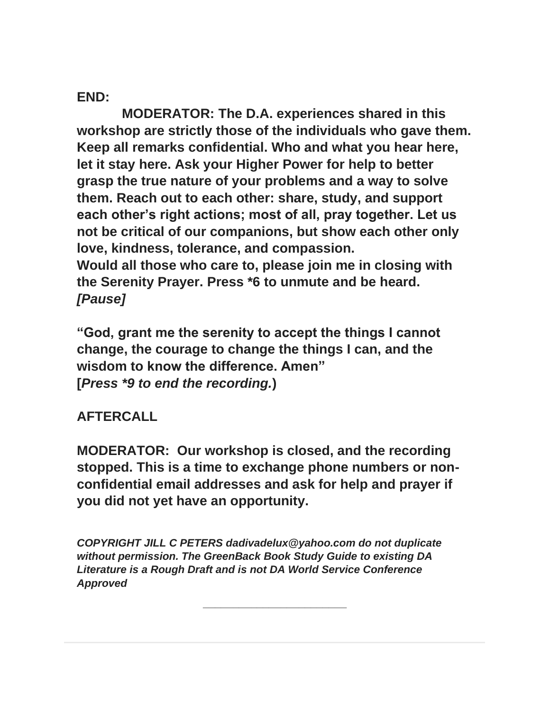**END:**

**MODERATOR: The D.A. experiences shared in this workshop are strictly those of the individuals who gave them. Keep all remarks confidential. Who and what you hear here, let it stay here. Ask your Higher Power for help to better grasp the true nature of your problems and a way to solve them. Reach out to each other: share, study, and support each other's right actions; most of all, pray together. Let us not be critical of our companions, but show each other only love, kindness, tolerance, and compassion. Would all those who care to, please join me in closing with the Serenity Prayer. Press \*6 to unmute and be heard.** *[Pause]*

**"God, grant me the serenity to accept the things I cannot change, the courage to change the things I can, and the wisdom to know the difference. Amen" [***Press \*9 to end the recording.***)**

# **AFTERCALL**

**MODERATOR: Our workshop is closed, and the recording stopped. This is a time to exchange phone numbers or nonconfidential email addresses and ask for help and prayer if you did not yet have an opportunity.**

*COPYRIGHT JILL C PETERS dadivadelux@yahoo.com do not duplicate without permission. The GreenBack Book Study Guide to existing DA Literature is a Rough Draft and is not DA World Service Conference Approved*

**\_\_\_\_\_\_\_\_\_\_\_\_\_\_\_\_\_\_\_\_\_\_\_\_**